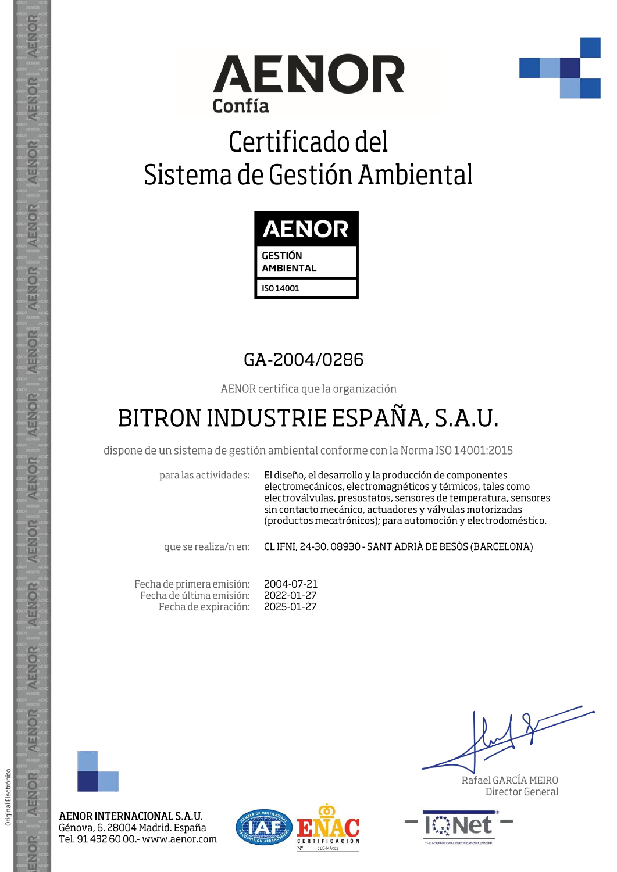



# Certificado del Sistema de Gestión Ambiental



### GA-2004/0286

AENOR certifica que la organización

## BITRON INDUSTRIE ESPAÑA, S.A.U.

dispone de un sistema de gestión ambiental conforme con la Norma ISO 14001:2015

para las actividades:

El diseño, el desarrollo y la producción de componentes electromecánicos, electromagnéticos y térmicos, tales como electroválvulas, presostatos, sensores de temperatura, sensores sin contacto mecánico, actuadores y válvulas motorizadas (productos mecatrónicos); para automoción y electrodoméstico.

que se realiza/n en:

CL IFNI, 24-30. 08930 - SANT ADRIÀ DE BESÒS (BARCELONA)

Fecha de primera emisión: 2004-07-21 Fecha de última emisión: 2022-01-27 2025-01-27 Fecha de expiración:



AENOR INTERNACIONAL S.A.U. Génova, 6. 28004 Madrid. España Tel. 91 432 60 00 - www.aenor.com



Rafael GARCÍA MEIRO Director General



ENOR

AENOR

ENOR

ENOR

**AENOR**